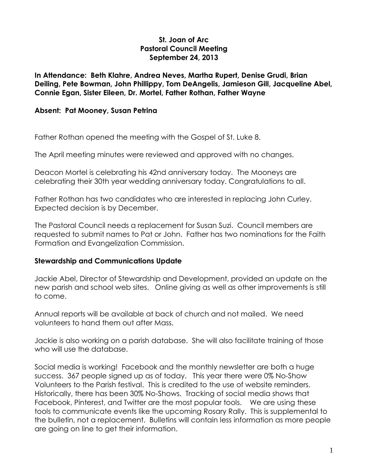## **St. Joan of Arc Pastoral Council Meeting September 24, 2013**

**In Attendance: Beth Klahre, Andrea Neves, Martha Rupert, Denise Grudi, Brian Deiling, Pete Bowman, John Phillippy, Tom DeAngelis, Jamieson Gill, Jacqueline Abel, Connie Egan, Sister Eileen, Dr. Mortel, Father Rothan, Father Wayne**

#### **Absent: Pat Mooney, Susan Petrina**

Father Rothan opened the meeting with the Gospel of St. Luke 8.

The April meeting minutes were reviewed and approved with no changes.

Deacon Mortel is celebrating his 42nd anniversary today. The Mooneys are celebrating their 30th year wedding anniversary today. Congratulations to all.

Father Rothan has two candidates who are interested in replacing John Curley. Expected decision is by December.

The Pastoral Council needs a replacement for Susan Suzi. Council members are requested to submit names to Pat or John. Father has two nominations for the Faith Formation and Evangelization Commission.

## **Stewardship and Communications Update**

Jackie Abel, Director of Stewardship and Development, provided an update on the new parish and school web sites. Online giving as well as other improvements is still to come.

Annual reports will be available at back of church and not mailed. We need volunteers to hand them out after Mass.

Jackie is also working on a parish database. She will also facilitate training of those who will use the database.

Social media is working! Facebook and the monthly newsletter are both a huge success. 367 people signed up as of today. This year there were 0% No-Show Volunteers to the Parish festival. This is credited to the use of website reminders. Historically, there has been 30% No-Shows. Tracking of social media shows that Facebook, Pinterest, and Twitter are the most popular tools. We are using these tools to communicate events like the upcoming Rosary Rally. This is supplemental to the bulletin, not a replacement. Bulletins will contain less information as more people are going on line to get their information.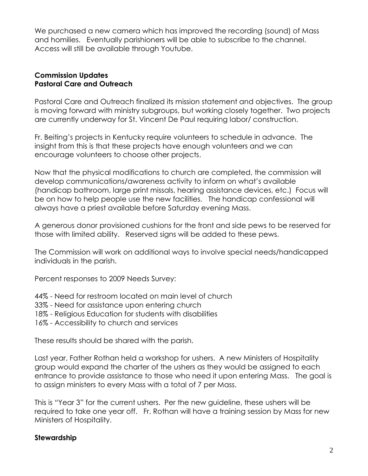We purchased a new camera which has improved the recording (sound) of Mass and homilies. Eventually parishioners will be able to subscribe to the channel. Access will still be available through Youtube.

## **Commission Updates Pastoral Care and Outreach**

Pastoral Care and Outreach finalized its mission statement and objectives. The group is moving forward with ministry subgroups, but working closely together. Two projects are currently underway for St. Vincent De Paul requiring labor/ construction.

Fr. Beiting's projects in Kentucky require volunteers to schedule in advance. The insight from this is that these projects have enough volunteers and we can encourage volunteers to choose other projects.

Now that the physical modifications to church are completed, the commission will develop communications/awareness activity to inform on what's available (handicap bathroom, large print missals, hearing assistance devices, etc.) Focus will be on how to help people use the new facilities. The handicap confessional will always have a priest available before Saturday evening Mass.

A generous donor provisioned cushions for the front and side pews to be reserved for those with limited ability. Reserved signs will be added to these pews.

The Commission will work on additional ways to involve special needs/handicapped individuals in the parish.

Percent responses to 2009 Needs Survey:

- 44% Need for restroom located on main level of church
- 33% Need for assistance upon entering church
- 18% Religious Education for students with disabilities
- 16% Accessibility to church and services

These results should be shared with the parish.

Last year, Father Rothan held a workshop for ushers. A new Ministers of Hospitality group would expand the charter of the ushers as they would be assigned to each entrance to provide assistance to those who need it upon entering Mass. The goal is to assign ministers to every Mass with a total of 7 per Mass.

This is "Year 3" for the current ushers. Per the new guideline, these ushers will be required to take one year off. Fr. Rothan will have a training session by Mass for new Ministers of Hospitality.

## **Stewardship**